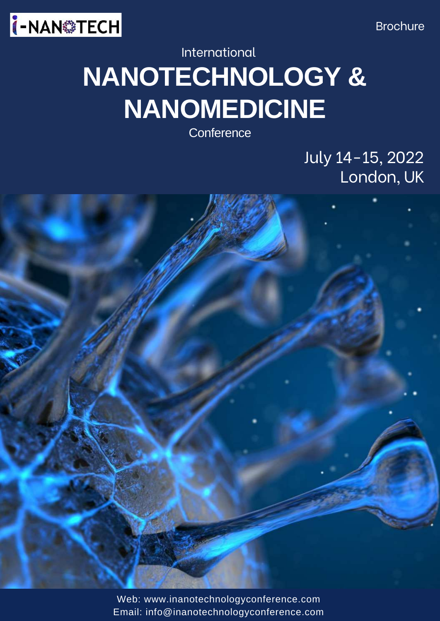



# **NANOTECHNOLOGY & NANOMEDICINE** International

**Conference** 

July 14-15, 2022 London, UK

Web: www.inanotechnologyconference.com Email: [info@inanotechnologyconference.com](https://www.ipharmacongress.com/)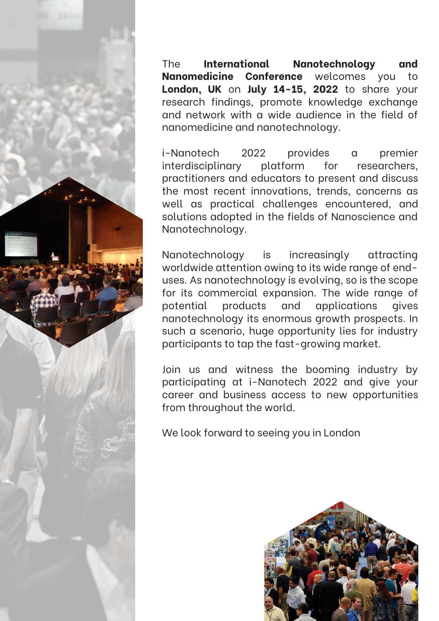

The **International Nanotechnology and Nanomedicine Conference** welcomes you to **London, UK** on **July 14-15, 2022** to share your research findings, promote knowledge exchange and network with a wide audience in the field of nanomedicine and nanotechnology.

i-Nanotech 2022 provides a premier interdisciplinary platform for researchers, practitioners and educators to present and discuss the most recent innovations, trends, concerns as well as practical challenges encountered, and solutions adopted in the fields of Nanoscience and Nanotechnology.

Nanotechnology is increasingly attracting worldwide attention owing to its wide range of enduses. As nanotechnology is evolving, so is the scope for its commercial expansion. The wide range of potential products and applications gives nanotechnology its enormous growth prospects. In such a scenario, huge opportunity lies for industry participants to tap the fast-growing market.

Join us and witness the booming industry by participating at i-Nanotech 2022 and give your career and business access to new opportunities from throughout the world.

We look forward to seeing you in London

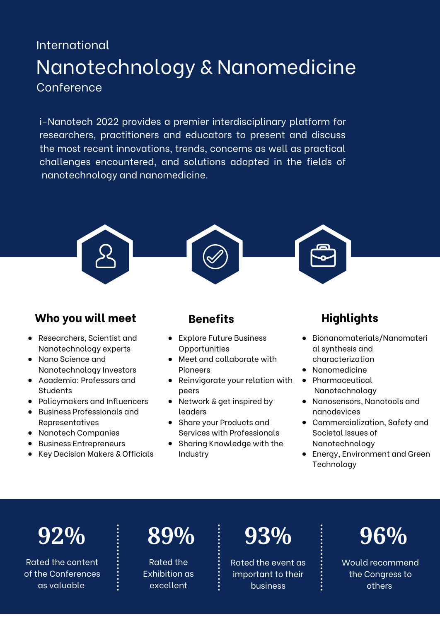### International **Conference** Nanotechnology & Nanomedicine

i-Nanotech 2022 provides a premier interdisciplinary platform for researchers, practitioners and educators to present and discuss the most recent innovations, trends, concerns as well as practical challenges encountered, and solutions adopted in the fields of nanotechnology and nanomedicine.



### **Who** you will meet **Benefits Highlights**

- Researchers, Scientist and Nanotechnology experts
- Nano Science and Nanotechnology Investors
- Academia: Professors and **Students**
- Policymakers and Influencers
- Business Professionals and Representatives
- Nanotech Companies
- Business Entrepreneurs
- Key Decision Makers & Officials

- Explore Future Business **Opportunities**
- Meet and collaborate with Pioneers
- Reinvigorate your relation with peers
- Network & get inspired by leaders
- Share your Products and Services with Professionals
- Sharing Knowledge with the Industry

- Bionanomaterials/Nanomateri al synthesis and characterization
- Nanomedicine
- Pharmaceutical Nanotechnology
- Nanosensors, Nanotools and nanodevices
- Commercialization, Safety and Societal Issues of Nanotechnology
- Energy, Environment and Green **Technology**

Rated the content of the Conferences as valuable

Rated the Exhibition as excellent

Rated the event as important to their business



Would recommend the Congress to others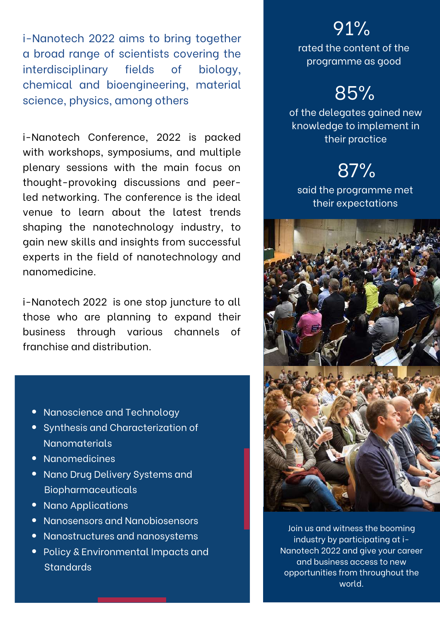i-Nanotech 2022 aims to bring together a broad range of scientists covering the interdisciplinary fields of biology, chemical and bioengineering, material science, physics, among others

i-Nanotech Conference, 2022 is packed with workshops, symposiums, and multiple plenary sessions with the main focus on thought-provoking discussions and peerled networking. The conference is the ideal venue to learn about the latest trends shaping the nanotechnology industry, to gain new skills and insights from successful experts in the field of nanotechnology and nanomedicine.

i-Nanotech 2022 is one stop juncture to all those who are planning to expand their business through various channels of franchise and distribution.

- Nanoscience and Technology
- Synthesis and Characterization of Nanomaterials
- Nanomedicines
- Nano Drug Delivery Systems and Biopharmaceuticals
- $\bullet$ Nano Applications
- Nanosensors and Nanobiosensors
- Nanostructures and nanosystems
- Policy & Environmental Impacts and **Standards**

### 91%

rated the content of the programme as good

### 85%

of the delegates gained new knowledge to implement in their practice

## 87%

said the programme met their expectations



Join us and witness the booming industry by participating at i-Nanotech 2022 and give your career and business access to new opportunities from throughout the world.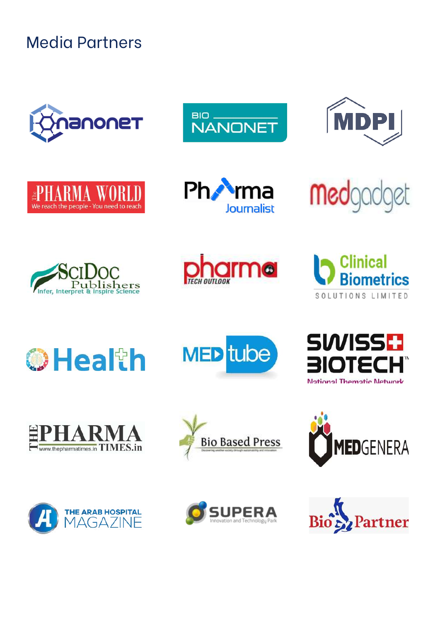Media Partners



































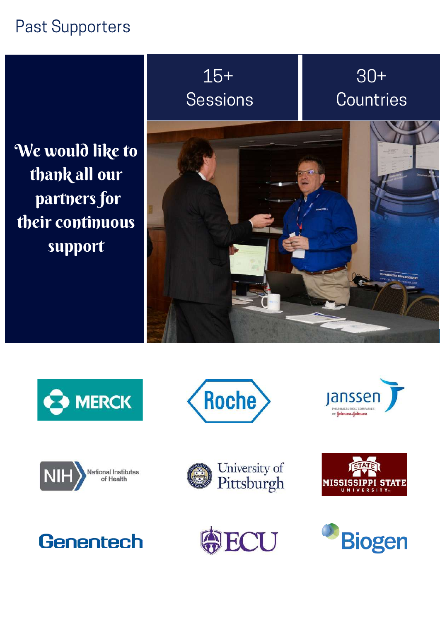### Past Supporters

We would like to thank all our partners for their continuous support

## 15+ Sessions

30+ **Countries** 

















**Genentech** 

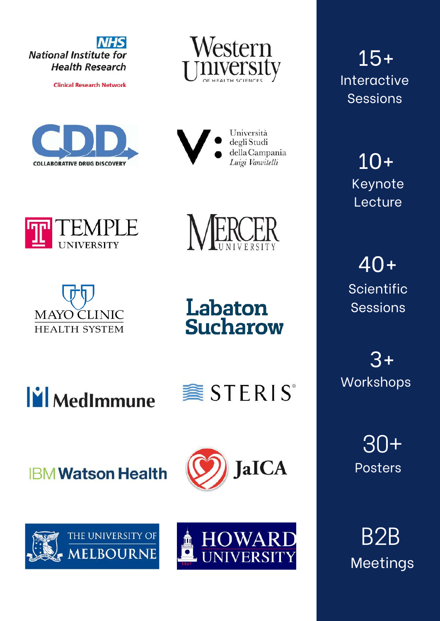

**Clinical Research Network** 





Università degli Studi della Campania Luigi Vanvitelli







Labaton **Sucharow** 



**IBM Watson Health** 



**《STERIS** 





15+ Interactive Sessions

> 10+ Keynote **Lecture**

40+ Scientific Sessions

3+ **Workshops** 

> 30+ Posters

B2B Meetings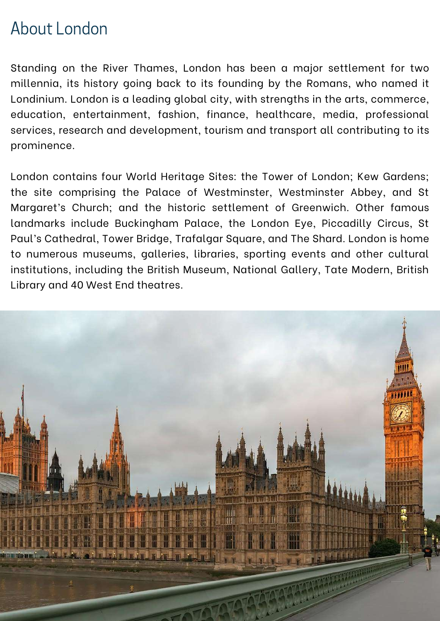### About London

Standing on the River Thames, London has been a major settlement for two millennia, its history going back to its founding by the Romans, who named it Londinium. London is a leading global city, with strengths in the arts, commerce, education, entertainment, fashion, finance, healthcare, media, professional services, research and development, tourism and transport all contributing to its prominence.

London contains four World Heritage Sites: the Tower of London; Kew Gardens; the site comprising the Palace of Westminster, Westminster Abbey, and St Margaret's Church; and the historic settlement of Greenwich. Other famous landmarks include Buckingham Palace, the London Eye, Piccadilly Circus, St Paul's Cathedral, Tower Bridge, Trafalgar Square, and The Shard. London is home to numerous museums, galleries, libraries, sporting events and other cultural institutions, including the British Museum, National Gallery, Tate Modern, British Library and 40 West End theatres.

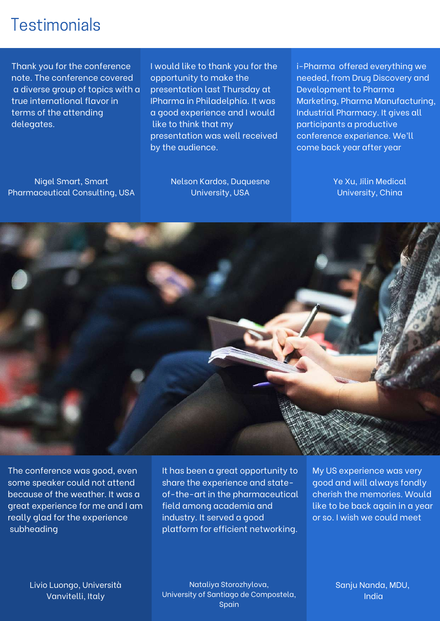### **Testimonials**

Thank you for the conference note. The conference covered a diverse group of topics with a true international flavor in terms of the attending delegates.

I would like to thank you for the opportunity to make the presentation last Thursday at IPharma in Philadelphia. It was a good experience and I would like to think that my presentation was well received by the audience.

Nigel Smart, Smart Pharmaceutical Consulting, USA Nelson Kardos, Duquesne University, USA

i-Pharma offered everything we needed, from Drug Discovery and Development to Pharma Marketing, Pharma Manufacturing, Industrial Pharmacy. It gives all participants a productive conference experience. We'll come back year after year

> Ye Xu, Jilin Medical University, China



The conference was good, even some speaker could not attend because of the weather. It was a great experience for me and I am really glad for the experience subheading

platform for efficient networking. The contract of the It has been a great opportunity to share the experience and stateof-the-art in the pharmaceutical field among academia and industry. It served a good

My US experience was very good and will always fondly cherish the memories. Would like to be back again in a year or so. I wish we could meet

Livio Luongo, Università Vanvitelli, Italy

*anju Nanda, MDU, India* University of Santiago de Compostela, Nataliya Storozhylova, Spain

Sanju Nanda, MDU, India